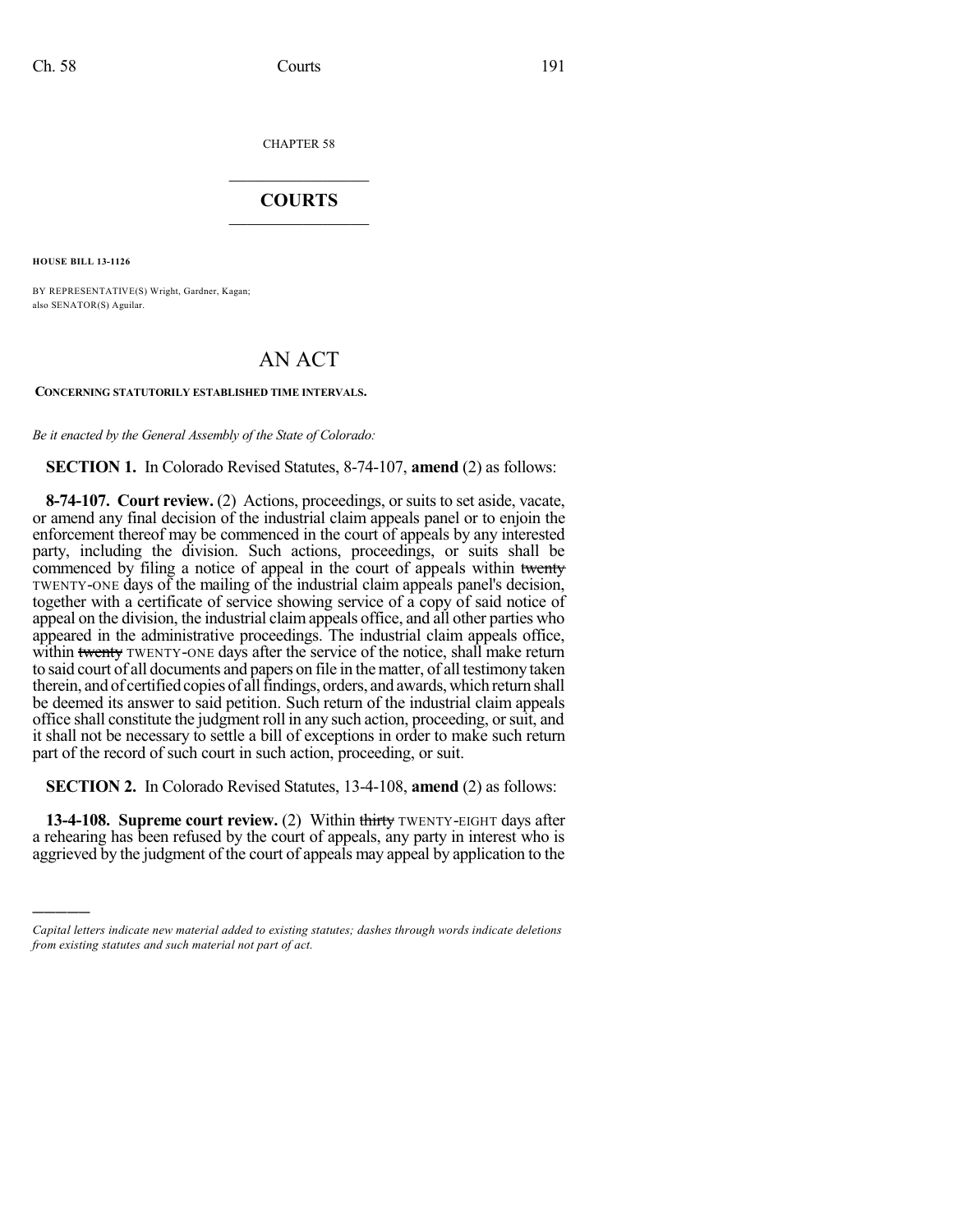CHAPTER 58

## $\mathcal{L}_\text{max}$  . The set of the set of the set of the set of the set of the set of the set of the set of the set of the set of the set of the set of the set of the set of the set of the set of the set of the set of the set **COURTS**  $\_$

**HOUSE BILL 13-1126**

)))))

BY REPRESENTATIVE(S) Wright, Gardner, Kagan; also SENATOR(S) Aguilar.

## AN ACT

## **CONCERNING STATUTORILY ESTABLISHED TIME INTERVALS.**

*Be it enacted by the General Assembly of the State of Colorado:*

**SECTION 1.** In Colorado Revised Statutes, 8-74-107, **amend** (2) as follows:

**8-74-107. Court review.** (2) Actions, proceedings, or suits to set aside, vacate, or amend any final decision of the industrial claim appeals panel or to enjoin the enforcement thereof may be commenced in the court of appeals by any interested party, including the division. Such actions, proceedings, or suits shall be commenced by filing a notice of appeal in the court of appeals within twenty TWENTY-ONE days of the mailing of the industrial claim appeals panel's decision, together with a certificate of service showing service of a copy of said notice of appeal on the division, the industrial claimappeals office, and all other parties who appeared in the administrative proceedings. The industrial claim appeals office, within twenty TWENTY-ONE days after the service of the notice, shall make return to said court of all documents and papers on file in thematter, of all testimony taken therein, and of certified copies of all findings, orders, and awards, which return shall be deemed its answer to said petition. Such return of the industrial claim appeals office shall constitute the judgment roll in any such action, proceeding, orsuit, and it shall not be necessary to settle a bill of exceptions in order to make such return part of the record of such court in such action, proceeding, or suit.

**SECTION 2.** In Colorado Revised Statutes, 13-4-108, **amend** (2) as follows:

**13-4-108. Supreme court review.** (2) Within thirty TWENTY-EIGHT days after a rehearing has been refused by the court of appeals, any party in interest who is aggrieved by the judgment of the court of appeals may appeal by application to the

*Capital letters indicate new material added to existing statutes; dashes through words indicate deletions from existing statutes and such material not part of act.*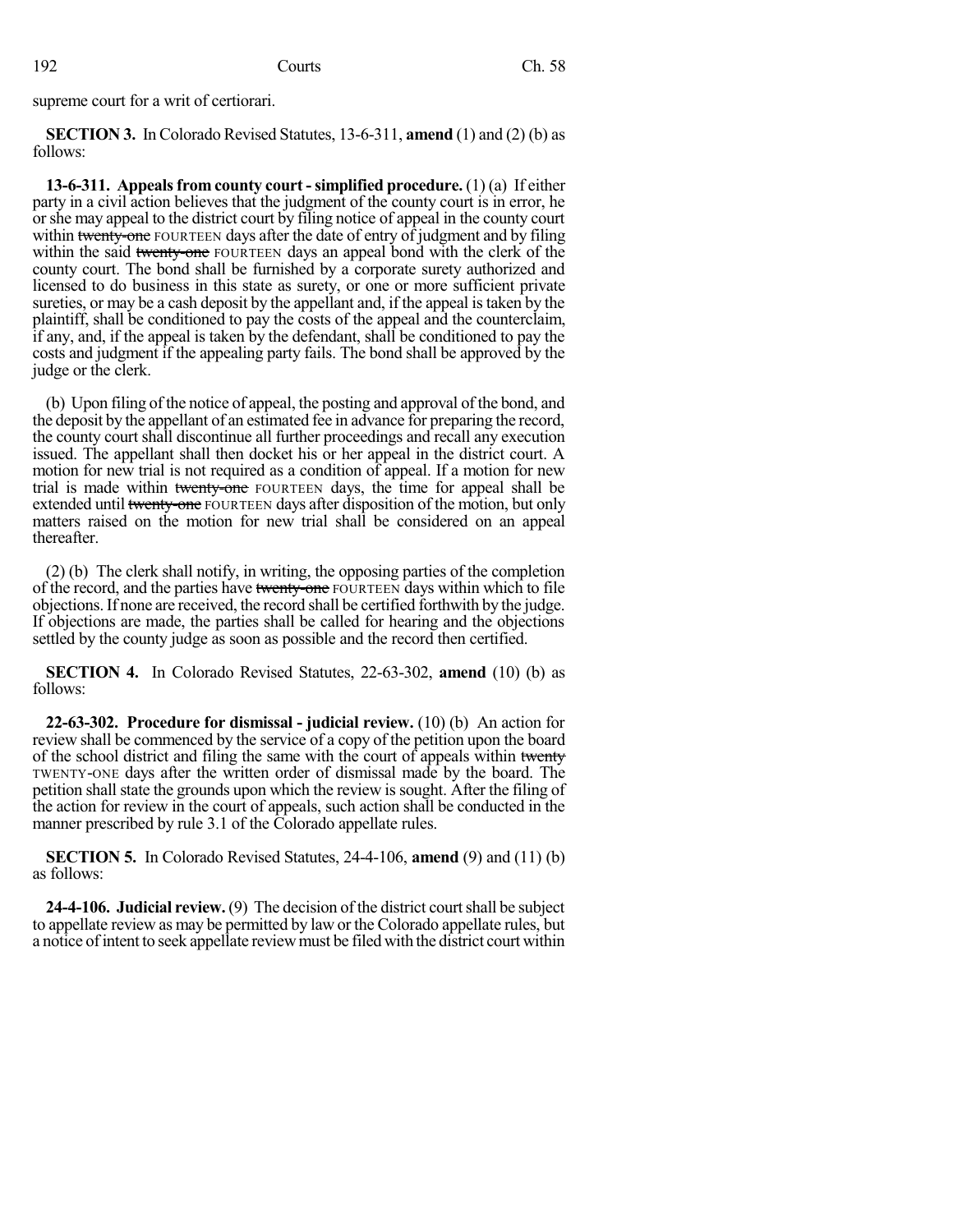supreme court for a writ of certiorari.

**SECTION 3.** In Colorado Revised Statutes, 13-6-311, **amend** (1) and (2) (b) as follows:

**13-6-311. Appealsfrom county court -simplified procedure.** (1) (a) If either party in a civil action believes that the judgment of the county court is in error, he orshe may appeal to the district court by filing notice of appeal in the county court within twenty-one FOURTEEN days after the date of entry of judgment and by filing within the said twenty-one FOURTEEN days an appeal bond with the clerk of the county court. The bond shall be furnished by a corporate surety authorized and licensed to do business in this state as surety, or one or more sufficient private sureties, or may be a cash deposit by the appellant and, if the appeal is taken by the plaintiff, shall be conditioned to pay the costs of the appeal and the counterclaim, if any, and, if the appeal is taken by the defendant, shall be conditioned to pay the costs and judgment if the appealing party fails. The bond shall be approved by the judge or the clerk.

(b) Upon filing of the notice of appeal, the posting and approval of the bond, and the deposit by the appellant of an estimated fee in advance for preparing the record, the county court shall discontinue all further proceedings and recall any execution issued. The appellant shall then docket his or her appeal in the district court. A motion for new trial is not required as a condition of appeal. If a motion for new trial is made within twenty-one FOURTEEN days, the time for appeal shall be extended until twenty-one FOURTEEN days after disposition of the motion, but only matters raised on the motion for new trial shall be considered on an appeal thereafter.

(2) (b) The clerk shall notify, in writing, the opposing parties of the completion of the record, and the parties have twenty-one FOURTEEN days within which to file objections.If none are received, the record shall be certified forthwith by the judge. If objections are made, the parties shall be called for hearing and the objections settled by the county judge as soon as possible and the record then certified.

**SECTION 4.** In Colorado Revised Statutes, 22-63-302, **amend** (10) (b) as follows:

**22-63-302. Procedure for dismissal - judicial review.** (10) (b) An action for review shall be commenced by the service of a copy of the petition upon the board of the school district and filing the same with the court of appeals within twenty TWENTY-ONE days after the written order of dismissal made by the board. The petition shall state the grounds upon which the review is sought. After the filing of the action for review in the court of appeals, such action shall be conducted in the manner prescribed by rule 3.1 of the Colorado appellate rules.

**SECTION 5.** In Colorado Revised Statutes, 24-4-106, **amend** (9) and (11) (b) as follows:

**24-4-106. Judicial review.** (9) The decision of the district courtshall be subject to appellate review as may be permitted by law or the Colorado appellate rules, but a notice of intent to seek appellate review must be filed with the district court within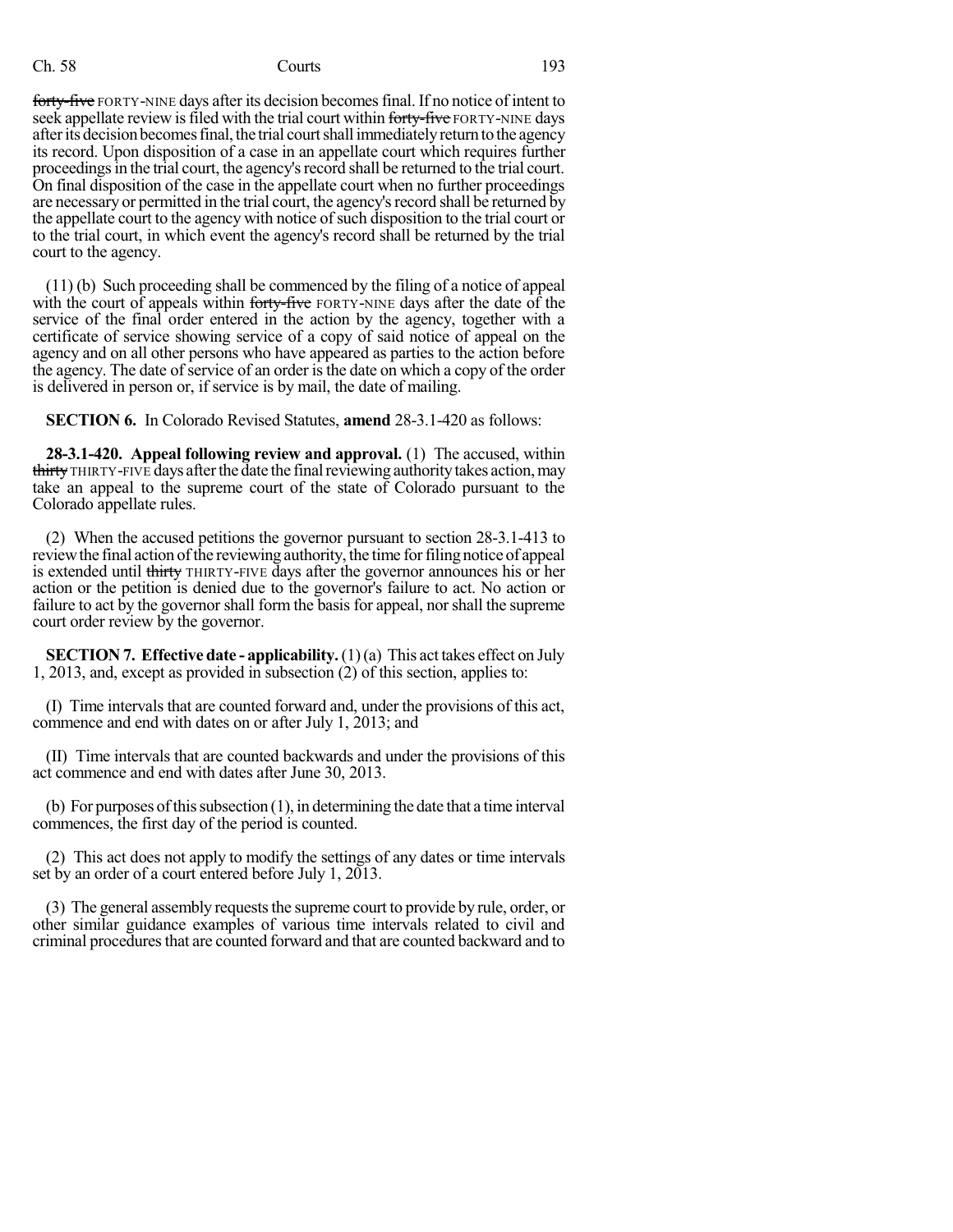## Ch. 58 Courts 193

forty-five FORTY-NINE days after its decision becomes final. If no notice of intent to seek appellate review is filed with the trial court within forty-five FORTY-NINE days after its decision becomes final, the trial court shall immediately return to the agency its record. Upon disposition of a case in an appellate court which requires further proceedings in the trial court, the agency's record shall be returned to the trial court. On final disposition of the case in the appellate court when no further proceedings are necessary or permitted in the trial court, the agency's record shall be returned by the appellate court to the agency with notice of such disposition to the trial court or to the trial court, in which event the agency's record shall be returned by the trial court to the agency.

(11) (b) Such proceeding shall be commenced by the filing of a notice of appeal with the court of appeals within forty-five FORTY-NINE days after the date of the service of the final order entered in the action by the agency, together with a certificate of service showing service of a copy of said notice of appeal on the agency and on all other persons who have appeared as parties to the action before the agency. The date of service of an order is the date on which a copy of the order is delivered in person or, if service is by mail, the date of mailing.

**SECTION 6.** In Colorado Revised Statutes, **amend** 28-3.1-420 as follows:

**28-3.1-420. Appeal following review and approval.** (1) The accused, within thirty THIRTY-FIVE days after the date the final reviewing authority takes action, may take an appeal to the supreme court of the state of Colorado pursuant to the Colorado appellate rules.

(2) When the accused petitions the governor pursuant to section 28-3.1-413 to review the final action of the reviewing authority, the time for filing notice of appeal is extended until thirty THIRTY-FIVE days after the governor announces his or her action or the petition is denied due to the governor's failure to act. No action or failure to act by the governor shall form the basis for appeal, norshall the supreme court order review by the governor.

**SECTION 7. Effective date - applicability.**(1)(a) This act takes effect on July 1, 2013, and, except as provided in subsection (2) of this section, applies to:

(I) Time intervals that are counted forward and, under the provisions of this act, commence and end with dates on or after July 1, 2013; and

(II) Time intervals that are counted backwards and under the provisions of this act commence and end with dates after June 30, 2013.

(b) For purposes of this subsection  $(1)$ , in determining the date that a time interval commences, the first day of the period is counted.

(2) This act does not apply to modify the settings of any dates or time intervals set by an order of a court entered before July 1, 2013.

(3) The general assembly requests the supreme court to provide by rule, order, or other similar guidance examples of various time intervals related to civil and criminal procedures that are counted forward and that are counted backward and to